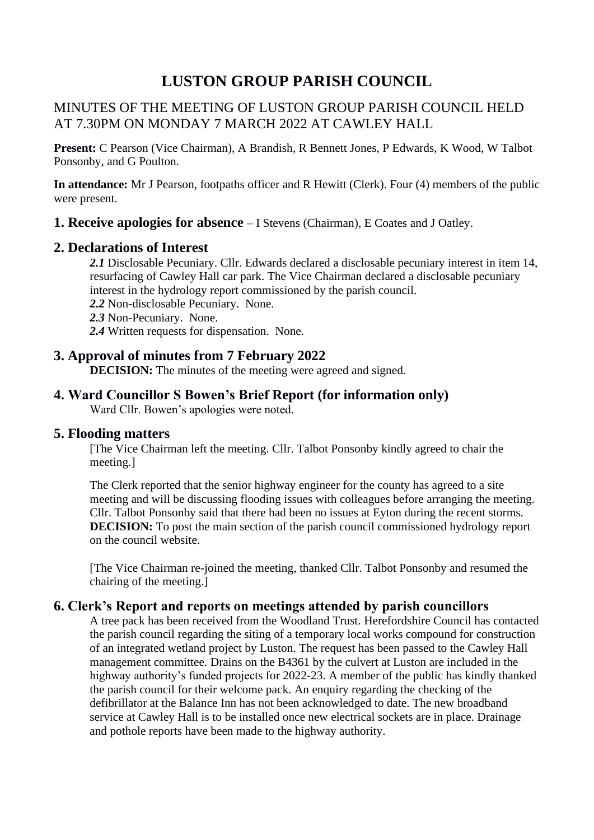# **LUSTON GROUP PARISH COUNCIL**

# MINUTES OF THE MEETING OF LUSTON GROUP PARISH COUNCIL HELD AT 7.30PM ON MONDAY 7 MARCH 2022 AT CAWLEY HALL

**Present:** C Pearson (Vice Chairman), A Brandish, R Bennett Jones, P Edwards, K Wood, W Talbot Ponsonby, and G Poulton.

**In attendance:** Mr J Pearson, footpaths officer and R Hewitt (Clerk). Four (4) members of the public were present.

**1. Receive apologies for absence** – I Stevens (Chairman), E Coates and J Oatley.

#### **2. Declarations of Interest**

*2.1* Disclosable Pecuniary. Cllr. Edwards declared a disclosable pecuniary interest in item 14, resurfacing of Cawley Hall car park. The Vice Chairman declared a disclosable pecuniary interest in the hydrology report commissioned by the parish council.

- *2.2* Non-disclosable Pecuniary. None.
- *2.3* Non-Pecuniary. None.
- *2.4* Written requests for dispensation. None.

# **3. Approval of minutes from 7 February 2022**

**DECISION:** The minutes of the meeting were agreed and signed.

# **4. Ward Councillor S Bowen's Brief Report (for information only)**

Ward Cllr. Bowen's apologies were noted.

#### **5. Flooding matters**

[The Vice Chairman left the meeting. Cllr. Talbot Ponsonby kindly agreed to chair the meeting.]

The Clerk reported that the senior highway engineer for the county has agreed to a site meeting and will be discussing flooding issues with colleagues before arranging the meeting. Cllr. Talbot Ponsonby said that there had been no issues at Eyton during the recent storms. **DECISION:** To post the main section of the parish council commissioned hydrology report on the council website.

[The Vice Chairman re-joined the meeting, thanked Cllr. Talbot Ponsonby and resumed the chairing of the meeting.]

## **6. Clerk's Report and reports on meetings attended by parish councillors**

A tree pack has been received from the Woodland Trust. Herefordshire Council has contacted the parish council regarding the siting of a temporary local works compound for construction of an integrated wetland project by Luston. The request has been passed to the Cawley Hall management committee. Drains on the B4361 by the culvert at Luston are included in the highway authority's funded projects for 2022-23. A member of the public has kindly thanked the parish council for their welcome pack. An enquiry regarding the checking of the defibrillator at the Balance Inn has not been acknowledged to date. The new broadband service at Cawley Hall is to be installed once new electrical sockets are in place. Drainage and pothole reports have been made to the highway authority.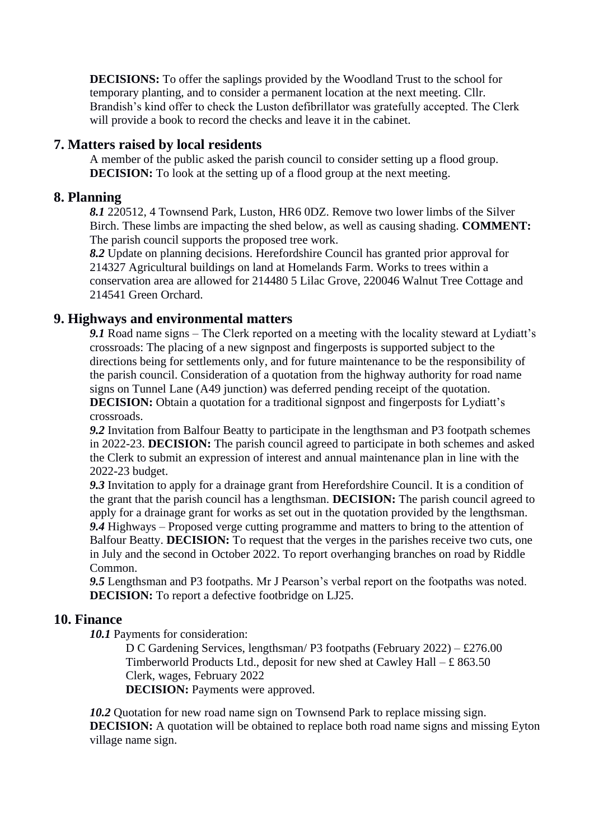**DECISIONS:** To offer the saplings provided by the Woodland Trust to the school for temporary planting, and to consider a permanent location at the next meeting. Cllr. Brandish's kind offer to check the Luston defibrillator was gratefully accepted. The Clerk will provide a book to record the checks and leave it in the cabinet.

### **7. Matters raised by local residents**

A member of the public asked the parish council to consider setting up a flood group. **DECISION:** To look at the setting up of a flood group at the next meeting.

#### **8. Planning**

*8.1* 220512, 4 Townsend Park, Luston, HR6 0DZ. Remove two lower limbs of the Silver Birch. These limbs are impacting the shed below, as well as causing shading. **COMMENT:** The parish council supports the proposed tree work.

*8.2* Update on planning decisions. Herefordshire Council has granted prior approval for 214327 Agricultural buildings on land at Homelands Farm. Works to trees within a conservation area are allowed for 214480 5 Lilac Grove, 220046 Walnut Tree Cottage and 214541 Green Orchard.

#### **9. Highways and environmental matters**

9.1 Road name signs – The Clerk reported on a meeting with the locality steward at Lydiatt's crossroads: The placing of a new signpost and fingerposts is supported subject to the directions being for settlements only, and for future maintenance to be the responsibility of the parish council. Consideration of a quotation from the highway authority for road name signs on Tunnel Lane (A49 junction) was deferred pending receipt of the quotation.

**DECISION:** Obtain a quotation for a traditional signpost and fingerposts for Lydiatt's crossroads.

*9.2* Invitation from Balfour Beatty to participate in the lengthsman and P3 footpath schemes in 2022-23. **DECISION:** The parish council agreed to participate in both schemes and asked the Clerk to submit an expression of interest and annual maintenance plan in line with the 2022-23 budget.

*9.3* Invitation to apply for a drainage grant from Herefordshire Council. It is a condition of the grant that the parish council has a lengthsman. **DECISION:** The parish council agreed to apply for a drainage grant for works as set out in the quotation provided by the lengthsman. *9.4* Highways – Proposed verge cutting programme and matters to bring to the attention of Balfour Beatty. **DECISION:** To request that the verges in the parishes receive two cuts, one in July and the second in October 2022. To report overhanging branches on road by Riddle Common.

*9.5* Lengthsman and P3 footpaths. Mr J Pearson's verbal report on the footpaths was noted. **DECISION:** To report a defective footbridge on LJ25.

#### **10. Finance**

*10.1* Payments for consideration:

D C Gardening Services, lengthsman/ P3 footpaths (February 2022) – £276.00 Timberworld Products Ltd., deposit for new shed at Cawley Hall  $- \pounds 863.50$ Clerk, wages, February 2022

**DECISION:** Payments were approved.

*10.2* Quotation for new road name sign on Townsend Park to replace missing sign. **DECISION:** A quotation will be obtained to replace both road name signs and missing Eyton village name sign.